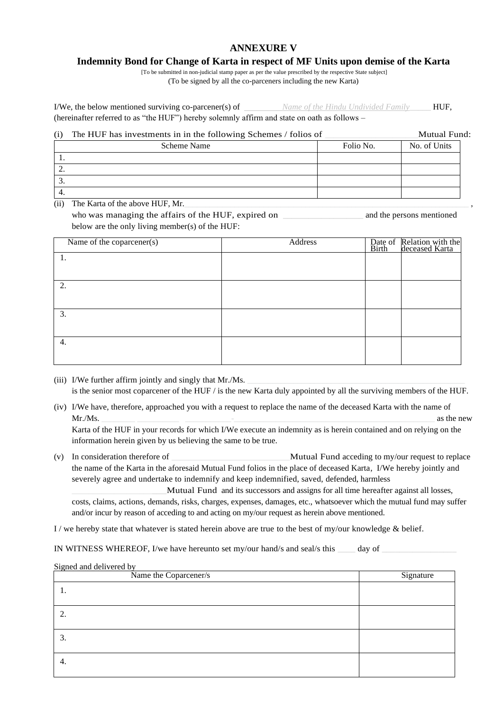# **ANNEXURE V**

## **Indemnity Bond for Change of Karta in respect of MF Units upon demise of the Karta**

[To be submitted in non-judicial stamp paper as per the value prescribed by the respective State subject] (To be signed by all the co-parceners including the new Karta)

I/We, the below mentioned surviving co-parcener(s) of *Name of the Hindu Undivided Family*\_\_\_\_\_ HUF, (hereinafter referred to as "the HUF") hereby solemnly affirm and state on oath as follows –

#### (i) The HUF has investments in in the following Schemes / folios of \_\_\_\_\_\_\_\_\_\_\_\_\_\_\_\_\_\_\_\_\_\_Mutual Fund:

| Scheme Name | Folio No. | No. of Units |
|-------------|-----------|--------------|
| . .         |           |              |
| <u>.</u>    |           |              |
| . ب         |           |              |
| 4.          |           |              |

 $(iii)$  The Karta of the above HUF, Mr.

who was managing the affairs of the HUF, expired on \_\_\_\_\_\_\_\_\_\_\_\_\_\_\_\_\_\_\_\_\_\_\_\_\_\_\_\_\_ and the persons mentioned below are the only living member(s) of the HUF:

| Name of the coparcener(s) | Address | Date of Relation with the<br>Birth deceased Karta |
|---------------------------|---------|---------------------------------------------------|
|                           |         |                                                   |
|                           |         |                                                   |
| 2.                        |         |                                                   |
|                           |         |                                                   |
| 3.                        |         |                                                   |
|                           |         |                                                   |
| 4.                        |         |                                                   |
|                           |         |                                                   |

- (iii) I/We further affirm jointly and singly that  $Mr.Ms$ . is the senior most coparcener of the HUF / is the new Karta duly appointed by all the surviving members of the HUF.
- (iv) I/We have, therefore, approached you with a request to replace the name of the deceased Karta with the name of Mr./Ms. \_\_\_\_\_\_\_\_ \_\_\_\_\_\_\_\_\_\_ \_\_\_\_\_\_\_\_\_\_\_-\_\_\_\_\_\_\_\_\_\_\_\_\_\_\_\_\_\_\_\_\_\_\_\_\_\_\_\_\_\_\_\_\_\_\_\_\_\_\_\_\_\_\_\_\_\_\_\_ as the new

Karta of the HUF in your records for which I/We execute an indemnity as is herein contained and on relying on the information herein given by us believing the same to be true.

(v) In consideration therefore of \_\_\_\_\_\_\_\_\_\_\_\_\_\_\_\_\_\_\_\_\_\_\_\_\_\_\_\_Mutual Fund acceding to my/our request to replace the name of the Karta in the aforesaid Mutual Fund folios in the place of deceased Karta, I/We hereby jointly and severely agree and undertake to indemnify and keep indemnified, saved, defended, harmless

\_\_\_\_\_\_\_\_\_\_\_\_\_\_\_\_\_\_\_\_\_\_Mutual Fund and its successors and assigns for all time hereafter against all losses, costs, claims, actions, demands, risks, charges, expenses, damages, etc., whatsoever which the mutual fund may suffer and/or incur by reason of acceding to and acting on my/our request as herein above mentioned.

I / we hereby state that whatever is stated herein above are true to the best of my/our knowledge  $\&$  belief.

IN WITNESS WHEREOF, I/we have hereunto set my/our hand/s and seal/s this \_\_\_\_\_\_\_ day of

### Signed and delivered by

| Name the Coparcener/s | Signature |
|-----------------------|-----------|
|                       |           |
| ◠<br>۷.               |           |
| 3.                    |           |
| 4.                    |           |